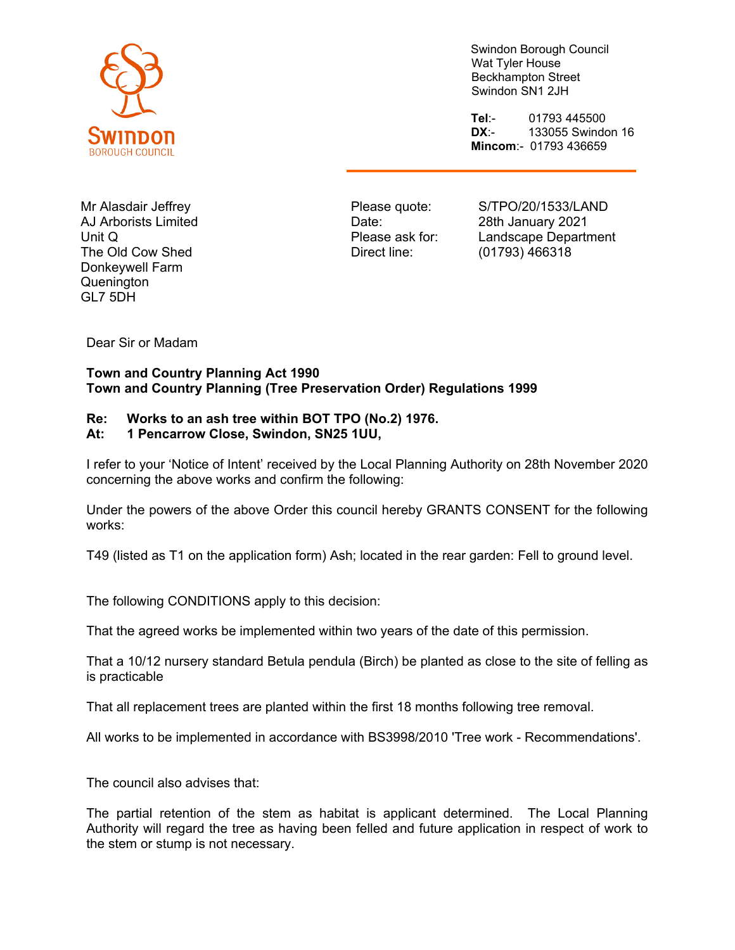

Swindon Borough Council Wat Tyler House Beckhampton Street Swindon SN1 2JH

**Tel**:- 01793 445500 **DX**:- 133055 Swindon 16 **Mincom**:- 01793 436659

Mr Alasdair Jeffrey AJ Arborists Limited Unit Q The Old Cow Shed Donkeywell Farm Quenington GL7 5DH

Please quote: Date: Please ask for: Direct line:

S/TPO/20/1533/LAND 28th January 2021 Landscape Department (01793) 466318

Dear Sir or Madam

## **Town and Country Planning Act 1990 Town and Country Planning (Tree Preservation Order) Regulations 1999**

## **Re: Works to an ash tree within BOT TPO (No.2) 1976.**

## **At: 1 Pencarrow Close, Swindon, SN25 1UU,**

I refer to your 'Notice of Intent' received by the Local Planning Authority on 28th November 2020 concerning the above works and confirm the following:

Under the powers of the above Order this council hereby GRANTS CONSENT for the following works:

T49 (listed as T1 on the application form) Ash; located in the rear garden: Fell to ground level.

The following CONDITIONS apply to this decision:

That the agreed works be implemented within two years of the date of this permission.

That a 10/12 nursery standard Betula pendula (Birch) be planted as close to the site of felling as is practicable

That all replacement trees are planted within the first 18 months following tree removal.

All works to be implemented in accordance with BS3998/2010 'Tree work - Recommendations'.

The council also advises that:

The partial retention of the stem as habitat is applicant determined. The Local Planning Authority will regard the tree as having been felled and future application in respect of work to the stem or stump is not necessary.